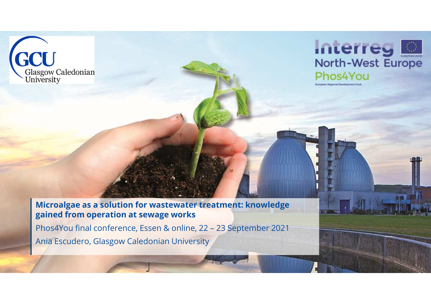



**Microalgae as <sup>a</sup> solution for wastewater treatment: knowledge gained from operation at sewage works**

Phos4You final conference, Essen & online, 22 – <sup>23</sup> September <sup>2021</sup> Ania Escudero, Glasgow Caledonian University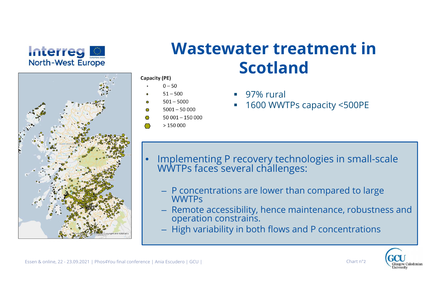



#### **Wastewater treatment in Scotland**Capacity (PE)

- $0 50$
- $51 500$
- $501 5000$
- $5001 50000$
- $50.001 150.000$
- $>150000$
- 97% rural
- u 1600 WWTPs capacity <500PE

- $\bullet$  Implementing P recovery technologies in small-scale WWTPs faces several challenges:
	- $-$  P concentrations are lower than compared to large  $\,$ WWTPs
	- Remote accessibility, hence maintenance, robustness and<br>operation constrains.
	- High variability in both flows and P concentrations

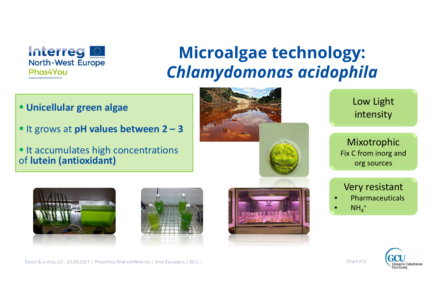

# **Microalgae technology:** *Chlamydomonas acidophila*

- **Unicellular green algae**
- It grows at **pH values between 2 – <sup>3</sup>**
- It accumulates high concentrations of **lutein (antioxidant)**



Low Light intensity

Mixotrophic Fix C from inorg and org sources





Essen & online, 22 - 23.09.2021 | Phos4You final conference | Ania Escudero | GCU | Chart n°<sup>3</sup>



Very resistant• Pharmaceuticals

 $\bullet$  NH<sub>4</sub><sup>+</sup>

••

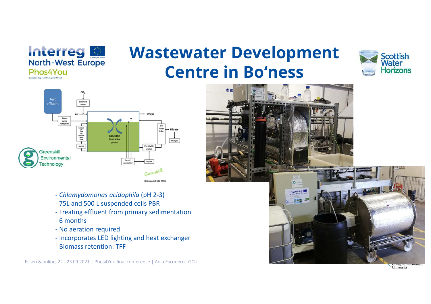

## **Wastewater Development Centre in Bo'ness**





- *Chlamydomonas acidophila* (pH 2-3)
- 75L and 500 L suspended cells PBR
- Treating effluent from primary sedimentation
- 6 months
- No aeration required
- Incorporates LED lighting and heat exchanger
- Biomass retention: TFF



University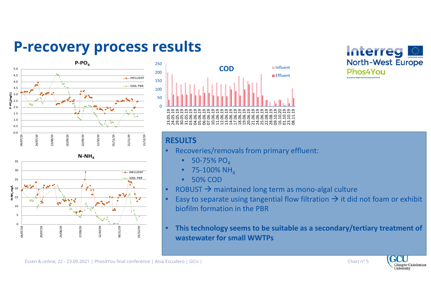#### **P-recovery process results**









#### **RESULTS**

- **•** Recoveries/removals from primary effluent:  $\bullet$ 
	- • $\bullet$  50-75% PO $_4$
	- $\bullet$   $\,$  75-100% NH $_{4}$ •
	- •50% COD
- •• ROBUST  $\rightarrow$  maintained long term as mono-algal culture<br>• Easy to senarate using tangential flow filtration  $\rightarrow$  it did
- •• Easy to separate using tangential flow filtration  $\rightarrow$  it did not foam or exhibit biofilm formation in the PRR biofilm formation in the PBR
- $\bullet$  **This technology seems to be suitable as a secondary/tertiary treatment of wastewater for small WWTPs**



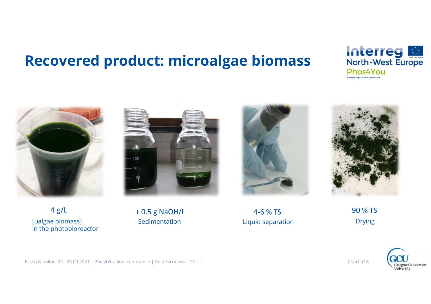### **Recovered product: microalgae biomass**





150 100

4 g/L[µalgae biomass]in the photobioreactor

 + 0.5 g NaOH/LSedimentation



 4-6 % TSLiquid separation



 90 % TS Drying

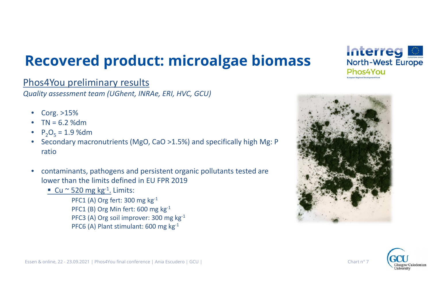## **Recovered product: microalgae biomass**

#### Phos4You preliminary results

*Quality assessment team (UGhent, INRAe, ERI, HVC, GCU)*

- $\bullet$ Corg. >15%
- $TN = 6.2 %dm$ •
- $P_2O_5 = 1.9$  %dm •
- Secondary macronutrients (MgO, CaO >1.5%) and specifically high Mg: P  $\bullet$ ratio
- $\bullet$  contaminants, pathogens and persistent organic pollutants tested are lower than the limits defined in EU FPR 2019
	- **C**u ~ 520 mg kg<sup>-1</sup>. Limits:

PFC1 (A) Org fert: 300 mg kg<sup>-1</sup> PFC1 (B) Org Min fert: 600 mg kg<sup>-1</sup> PFC3 (A) Org soil improver: 300 mg kg-1 PFC6 (A) Plant stimulant: 600 mg kg-1



Interreg

Dhos4Vou

**North-West Europe**